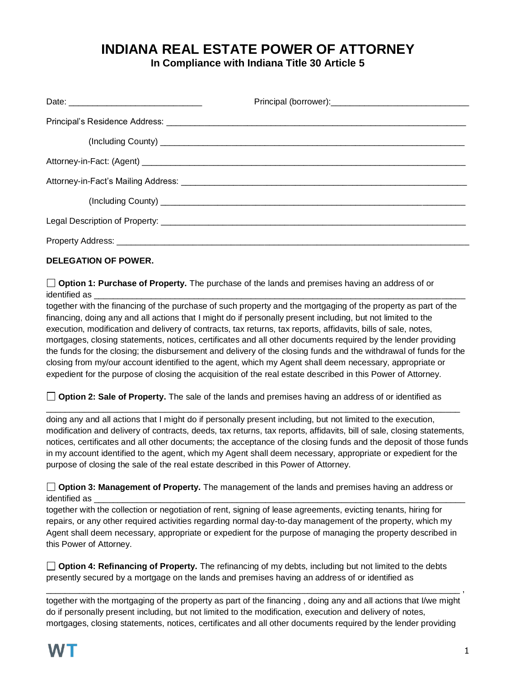# **INDIANA REAL ESTATE POWER OF ATTORNEY**

**In Compliance with Indiana Title 30 Article 5**

## **DELEGATION OF POWER.**

**Option 1: Purchase of Property.** The purchase of the lands and premises having an address of or identified as \_\_\_\_\_\_\_\_\_\_\_\_\_\_\_\_\_\_\_\_\_\_\_\_\_\_\_\_\_\_\_\_\_\_\_\_\_\_\_\_\_\_\_\_\_\_\_\_\_\_\_\_\_\_\_\_\_\_\_\_\_\_\_\_\_\_\_\_\_\_\_\_\_\_\_\_\_\_

together with the financing of the purchase of such property and the mortgaging of the property as part of the financing, doing any and all actions that I might do if personally present including, but not limited to the execution, modification and delivery of contracts, tax returns, tax reports, affidavits, bills of sale, notes, mortgages, closing statements, notices, certificates and all other documents required by the lender providing the funds for the closing; the disbursement and delivery of the closing funds and the withdrawal of funds for the closing from my/our account identified to the agent, which my Agent shall deem necessary, appropriate or expedient for the purpose of closing the acquisition of the real estate described in this Power of Attorney.

**Option 2: Sale of Property.** The sale of the lands and premises having an address of or identified as

 $\_$  ,  $\_$  ,  $\_$  ,  $\_$  ,  $\_$  ,  $\_$  ,  $\_$  ,  $\_$  ,  $\_$  ,  $\_$  ,  $\_$  ,  $\_$  ,  $\_$  ,  $\_$  ,  $\_$  ,  $\_$  ,  $\_$  ,  $\_$  ,  $\_$  ,  $\_$  ,  $\_$  ,  $\_$  ,  $\_$  ,  $\_$  ,  $\_$  ,  $\_$  ,  $\_$  ,  $\_$  ,  $\_$  ,  $\_$  ,  $\_$  ,  $\_$  ,  $\_$  ,  $\_$  ,  $\_$  ,  $\_$  ,  $\_$  ,

doing any and all actions that I might do if personally present including, but not limited to the execution, modification and delivery of contracts, deeds, tax returns, tax reports, affidavits, bill of sale, closing statements, notices, certificates and all other documents; the acceptance of the closing funds and the deposit of those funds in my account identified to the agent, which my Agent shall deem necessary, appropriate or expedient for the purpose of closing the sale of the real estate described in this Power of Attorney.

**Option 3: Management of Property.** The management of the lands and premises having an address or identified as

together with the collection or negotiation of rent, signing of lease agreements, evicting tenants, hiring for repairs, or any other required activities regarding normal day-to-day management of the property, which my Agent shall deem necessary, appropriate or expedient for the purpose of managing the property described in this Power of Attorney.

**Option 4: Refinancing of Property.** The refinancing of my debts, including but not limited to the debts presently secured by a mortgage on the lands and premises having an address of or identified as

together with the mortgaging of the property as part of the financing , doing any and all actions that I/we might do if personally present including, but not limited to the modification, execution and delivery of notes, mortgages, closing statements, notices, certificates and all other documents required by the lender providing

\_\_\_\_\_\_\_\_\_\_\_\_\_\_\_\_\_\_\_\_\_\_\_\_\_\_\_\_\_\_\_\_\_\_\_\_\_\_\_\_\_\_\_\_\_\_\_\_\_\_\_\_\_\_\_\_\_\_\_\_\_\_\_\_\_\_\_\_\_\_\_\_\_\_\_\_\_\_\_\_\_\_\_\_\_\_\_ ,